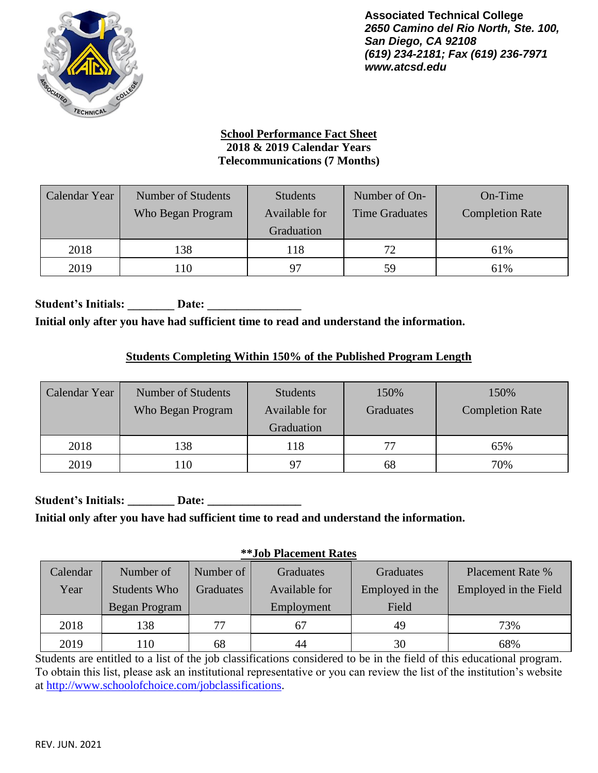

## **School Performance Fact Sheet 2018 & 2019 Calendar Years Telecommunications (7 Months)**

| Calendar Year | Number of Students<br>Who Began Program | Students<br>Available for | Number of On-<br><b>Time Graduates</b> | On-Time<br><b>Completion Rate</b> |
|---------------|-----------------------------------------|---------------------------|----------------------------------------|-----------------------------------|
|               |                                         | Graduation                |                                        |                                   |
| 2018          | 138                                     | 118                       | 72                                     | 61%                               |
| 2019          | 10                                      | 97                        | 59                                     | 61%                               |

Student's Initials: **Date: Date: Initial only after you have had sufficient time to read and understand the information.**

# **Students Completing Within 150% of the Published Program Length**

| Calendar Year | Number of Students<br>Who Began Program | Students<br>Available for<br>Graduation | 150%<br><b>Graduates</b> | 150%<br><b>Completion Rate</b> |
|---------------|-----------------------------------------|-----------------------------------------|--------------------------|--------------------------------|
| 2018          | 138                                     | 118                                     | 77                       | 65%                            |
| 2019          | 10                                      | 97                                      | 68                       | 70%                            |

Student's Initials: **Date: Date: Initial only after you have had sufficient time to read and understand the information.**

#### **\*\*Job Placement Rates**

| Calendar | Number of     | Number of | <b>Graduates</b> | <b>Graduates</b> | <b>Placement Rate %</b> |
|----------|---------------|-----------|------------------|------------------|-------------------------|
| Year     | Students Who  | Graduates | Available for    | Employed in the  | Employed in the Field   |
|          | Began Program |           | Employment       | Field            |                         |
| 2018     | 138           | 77        | 67               | 49               | 73%                     |
| 2019     | l 10          | 68        | 44               | 30               | 68%                     |

Students are entitled to a list of the job classifications considered to be in the field of this educational program. To obtain this list, please ask an institutional representative or you can review the list of the institution's website at [http://www.schoolofchoice.com/jobclassifications.](http://www.schoolofchoice.com/jobclassifications)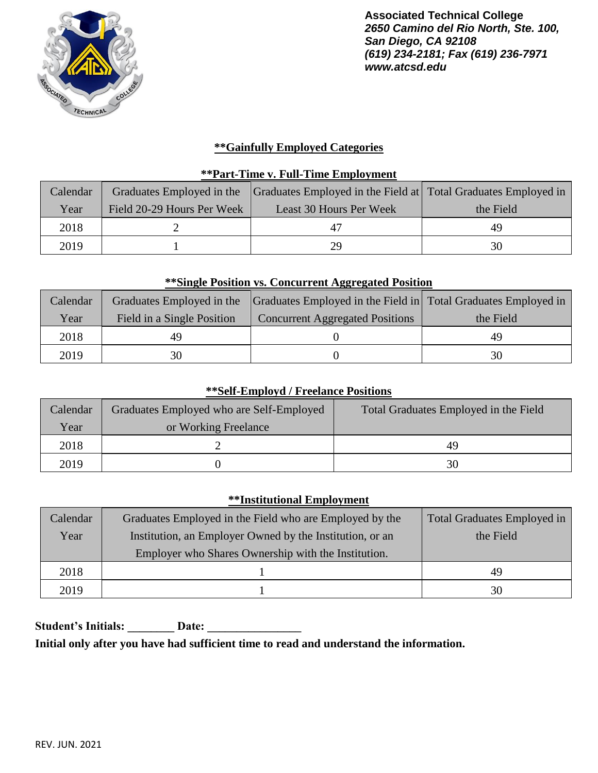

## **\*\*Gainfully Employed Categories**

#### **\*\*Part-Time v. Full-Time Employment**

| Calendar | Graduates Employed in the  | Graduates Employed in the Field at Total Graduates Employed in |           |
|----------|----------------------------|----------------------------------------------------------------|-----------|
| Year     | Field 20-29 Hours Per Week | Least 30 Hours Per Week                                        | the Field |
| 2018     |                            | 47                                                             | 49        |
| 2019     |                            | 29                                                             | 30        |

#### **\*\*Single Position vs. Concurrent Aggregated Position**

| Calendar |                            | Graduates Employed in the Graduates Employed in the Field in Total Graduates Employed in |           |
|----------|----------------------------|------------------------------------------------------------------------------------------|-----------|
| Year     | Field in a Single Position | <b>Concurrent Aggregated Positions</b>                                                   | the Field |
| 2018     |                            |                                                                                          | 49        |
| 2019     | 30                         |                                                                                          | 30        |

### **\*\*Self-Employd / Freelance Positions**

| Calendar | Graduates Employed who are Self-Employed | Total Graduates Employed in the Field |
|----------|------------------------------------------|---------------------------------------|
| Year     | or Working Freelance                     |                                       |
| 2018     |                                          | 49                                    |
| 2019     |                                          | 30                                    |

#### **\*\*Institutional Employment**

| Calendar | Graduates Employed in the Field who are Employed by the  | <b>Total Graduates Employed in</b> |
|----------|----------------------------------------------------------|------------------------------------|
| Year     | Institution, an Employer Owned by the Institution, or an | the Field                          |
|          | Employer who Shares Ownership with the Institution.      |                                    |
| 2018     |                                                          | 49                                 |
| 2019     |                                                          | 30                                 |

Student's Initials: **Date:** Date:

**Initial only after you have had sufficient time to read and understand the information.**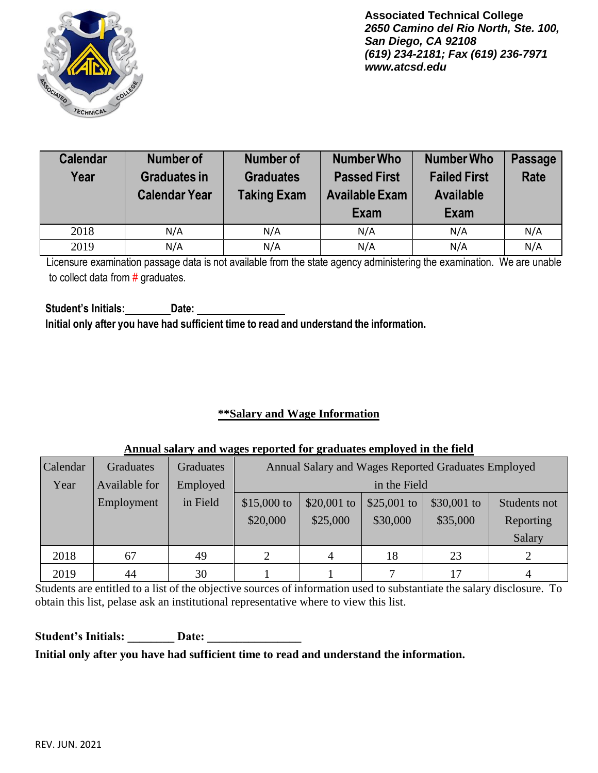

| <b>Calendar</b><br>Year | Number of<br><b>Graduates in</b><br><b>Calendar Year</b> | <b>Number of</b><br><b>Graduates</b><br><b>Taking Exam</b> | <b>Number Who</b><br><b>Passed First</b><br><b>Available Exam</b><br>Exam | <b>Number Who</b><br><b>Failed First</b><br><b>Available</b><br>Exam | <b>Passage</b><br>Rate |
|-------------------------|----------------------------------------------------------|------------------------------------------------------------|---------------------------------------------------------------------------|----------------------------------------------------------------------|------------------------|
| 2018                    | N/A                                                      | N/A                                                        | N/A                                                                       | N/A                                                                  | N/A                    |
| 2019                    | N/A                                                      | N/A                                                        | N/A                                                                       | N/A                                                                  | N/A                    |

Licensure examination passage data is not available from the state agency administering the examination. We are unable to collect data from  $#$  graduates.

**Student's Initials: Date: Initial only after you have had sufficient time to read and understand the information.**

## **\*\*Salary and Wage Information**

# **Annual salary and wages reported for graduates employed in the field**

| Calendar | Graduates     | Graduates | Annual Salary and Wages Reported Graduates Employed |             |             |             |              |
|----------|---------------|-----------|-----------------------------------------------------|-------------|-------------|-------------|--------------|
| Year     | Available for | Employed  | in the Field                                        |             |             |             |              |
|          | Employment    | in Field  | $$15,000$ to                                        | \$20,001 to | \$25,001 to | \$30,001 to | Students not |
|          |               |           | \$20,000                                            | \$25,000    | \$30,000    | \$35,000    | Reporting    |
|          |               |           |                                                     |             |             |             | Salary       |
| 2018     | 67            | 49        | 2                                                   |             | 18          | 23          |              |
| 2019     | 44            | 30        |                                                     |             |             |             |              |

Students are entitled to a list of the objective sources of information used to substantiate the salary disclosure. To obtain this list, pelase ask an institutional representative where to view this list.

Student's Initials: **Date: Date:** 

**Initial only after you have had sufficient time to read and understand the information.**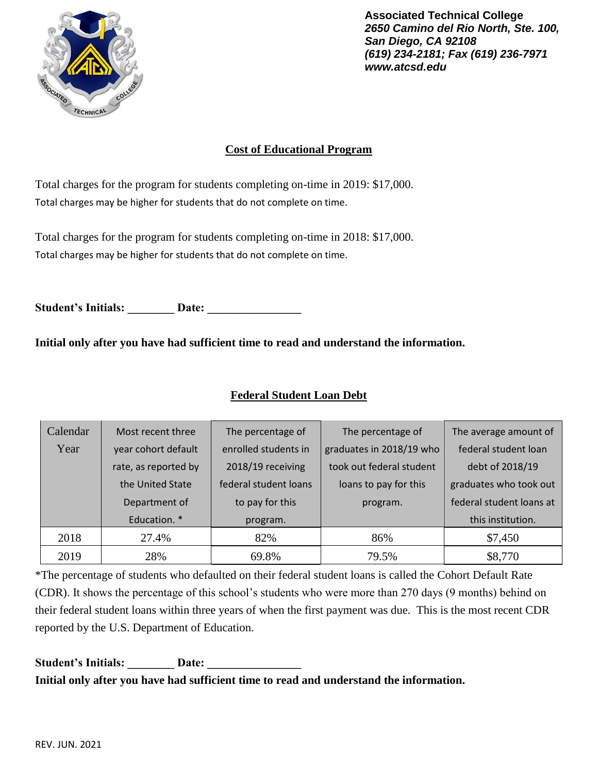

# **Cost of Educational Program**

Total charges for the program for students completing on-time in 2019: \$17,000. Total charges may be higher for students that do not complete on time.

Total charges for the program for students completing on-time in 2018: \$17,000. Total charges may be higher for students that do not complete on time.

Student's Initials: Date: <u>Date:</u>

**Initial only after you have had sufficient time to read and understand the information.**

| Calendar | Most recent three    | The percentage of     | The percentage of        | The average amount of    |
|----------|----------------------|-----------------------|--------------------------|--------------------------|
| Year     | year cohort default  | enrolled students in  | graduates in 2018/19 who | federal student loan     |
|          | rate, as reported by | 2018/19 receiving     | took out federal student | debt of 2018/19          |
|          | the United State     | federal student loans | loans to pay for this    | graduates who took out   |
|          | Department of        | to pay for this       | program.                 | federal student loans at |
|          | Education. *         | program.              |                          | this institution.        |
| 2018     | 27.4%                | 82%                   | 86%                      | \$7,450                  |
| 2019     | 28%                  | 69.8%                 | 79.5%                    | \$8,770                  |

## **Federal Student Loan Debt**

\*The percentage of students who defaulted on their federal student loans is called the Cohort Default Rate (CDR). It shows the percentage of this school's students who were more than 270 days (9 months) behind on their federal student loans within three years of when the first payment was due. This is the most recent CDR reported by the U.S. Department of Education.

Student's Initials: **Date: Date: Initial only after you have had sufficient time to read and understand the information.**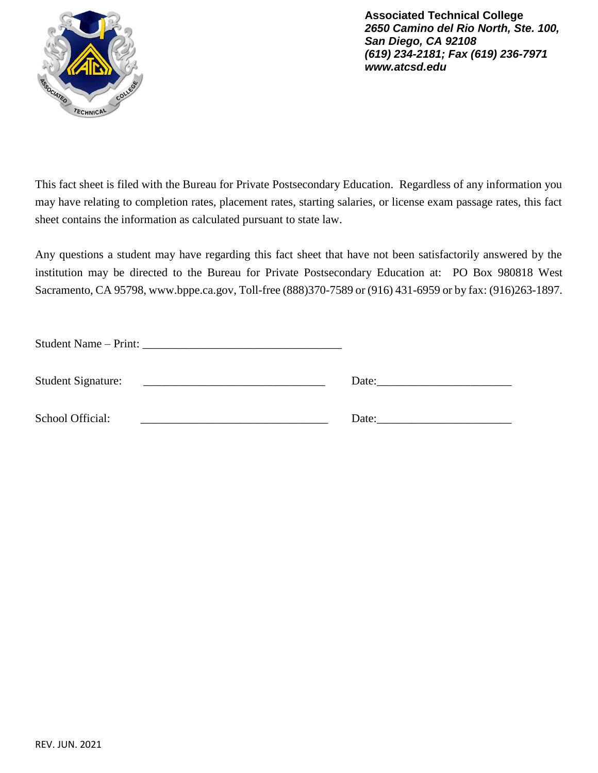

This fact sheet is filed with the Bureau for Private Postsecondary Education. Regardless of any information you may have relating to completion rates, placement rates, starting salaries, or license exam passage rates, this fact sheet contains the information as calculated pursuant to state law.

Any questions a student may have regarding this fact sheet that have not been satisfactorily answered by the institution may be directed to the Bureau for Private Postsecondary Education at: PO Box 980818 West Sacramento, CA 95798[, www.bppe.ca.gov,](http://www.bppe.ca.gov/) Toll-free (888)370-7589 or (916) 431-6959 or by fax: (916)263-1897.

| <b>Student Signature:</b> | Date: |
|---------------------------|-------|
| School Official:          | Date: |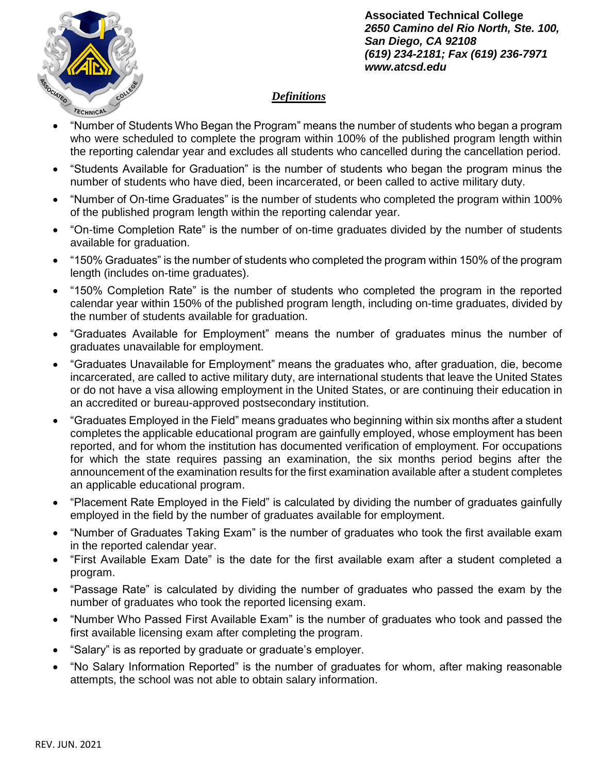

# *Definitions*

- "Number of Students Who Began the Program" means the number of students who began a program who were scheduled to complete the program within 100% of the published program length within the reporting calendar year and excludes all students who cancelled during the cancellation period.
- "Students Available for Graduation" is the number of students who began the program minus the number of students who have died, been incarcerated, or been called to active military duty.
- "Number of On-time Graduates" is the number of students who completed the program within 100% of the published program length within the reporting calendar year.
- "On-time Completion Rate" is the number of on-time graduates divided by the number of students available for graduation.
- "150% Graduates" is the number of students who completed the program within 150% of the program length (includes on-time graduates).
- "150% Completion Rate" is the number of students who completed the program in the reported calendar year within 150% of the published program length, including on-time graduates, divided by the number of students available for graduation.
- "Graduates Available for Employment" means the number of graduates minus the number of graduates unavailable for employment.
- "Graduates Unavailable for Employment" means the graduates who, after graduation, die, become incarcerated, are called to active military duty, are international students that leave the United States or do not have a visa allowing employment in the United States, or are continuing their education in an accredited or bureau-approved postsecondary institution.
- "Graduates Employed in the Field" means graduates who beginning within six months after a student completes the applicable educational program are gainfully employed, whose employment has been reported, and for whom the institution has documented verification of employment. For occupations for which the state requires passing an examination, the six months period begins after the announcement of the examination results for the first examination available after a student completes an applicable educational program.
- "Placement Rate Employed in the Field" is calculated by dividing the number of graduates gainfully employed in the field by the number of graduates available for employment.
- "Number of Graduates Taking Exam" is the number of graduates who took the first available exam in the reported calendar year.
- "First Available Exam Date" is the date for the first available exam after a student completed a program.
- "Passage Rate" is calculated by dividing the number of graduates who passed the exam by the number of graduates who took the reported licensing exam.
- "Number Who Passed First Available Exam" is the number of graduates who took and passed the first available licensing exam after completing the program.
- "Salary" is as reported by graduate or graduate's employer.
- "No Salary Information Reported" is the number of graduates for whom, after making reasonable attempts, the school was not able to obtain salary information.